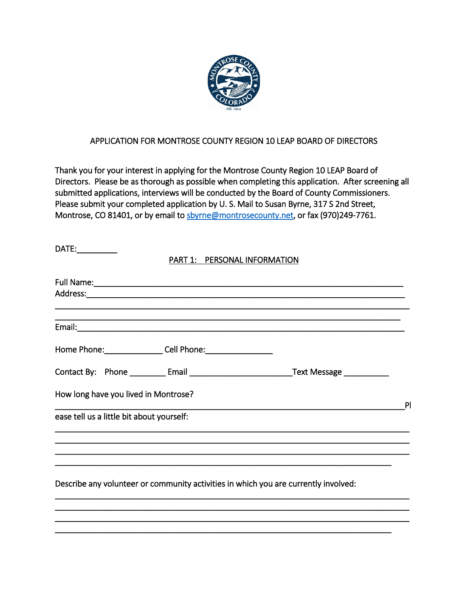

## APPLICATION FOR MONTROSE COUNTY REGION 10 LEAP BOARD OF DIRECTORS

Thank you for your interest in applying for the Montrose County Region 10 LEAP Board of Directors. Please be as thorough as possible when completing this application. After screening all submitted applications, interviews will be conducted by the Board of County Commissioners. Please submit your completed application by U. S. Mail to Susan Byrne, 317 S 2nd Street, Montrose, CO 81401, or by email to [sbyrne@montrosecounty.net,](mailto:sbyrne@montrosecounty.net) or fax (970)249-7761.

| DATE: ___________                         |                              |                                                                                                     |   |
|-------------------------------------------|------------------------------|-----------------------------------------------------------------------------------------------------|---|
|                                           | PART 1: PERSONAL INFORMATION |                                                                                                     |   |
|                                           |                              |                                                                                                     |   |
|                                           |                              |                                                                                                     |   |
|                                           |                              | ,我们也不能会有什么。""我们,我们也不能会不能会不能会不能会不能会不能会不能会不能会不能会不能会。""我们,我们也不能会不能会不能会不能会不能会不能会不能会不                    |   |
| Home Phone: Cell Phone: Cell 2008         |                              |                                                                                                     |   |
|                                           |                              | Contact By: Phone ___________ Email ________________________________Text Message __________________ |   |
| How long have you lived in Montrose?      |                              |                                                                                                     | P |
| ease tell us a little bit about yourself: |                              |                                                                                                     |   |
|                                           |                              |                                                                                                     |   |
|                                           |                              |                                                                                                     |   |
|                                           |                              | Describe any volunteer or community activities in which you are currently involved:                 |   |

\_\_\_\_\_\_\_\_\_\_\_\_\_\_\_\_\_\_\_\_\_\_\_\_\_\_\_\_\_\_\_\_\_\_\_\_\_\_\_\_\_\_\_\_\_\_\_\_\_\_\_\_\_\_\_\_\_\_\_\_\_\_\_\_\_\_\_\_\_\_\_\_\_\_\_\_\_\_\_ \_\_\_\_\_\_\_\_\_\_\_\_\_\_\_\_\_\_\_\_\_\_\_\_\_\_\_\_\_\_\_\_\_\_\_\_\_\_\_\_\_\_\_\_\_\_\_\_\_\_\_\_\_\_\_\_\_\_\_\_\_\_\_\_\_\_\_\_\_\_\_\_\_\_\_\_\_\_\_ \_\_\_\_\_\_\_\_\_\_\_\_\_\_\_\_\_\_\_\_\_\_\_\_\_\_\_\_\_\_\_\_\_\_\_\_\_\_\_\_\_\_\_\_\_\_\_\_\_\_\_\_\_\_\_\_\_\_\_\_\_\_\_\_\_\_\_\_\_\_\_\_\_\_\_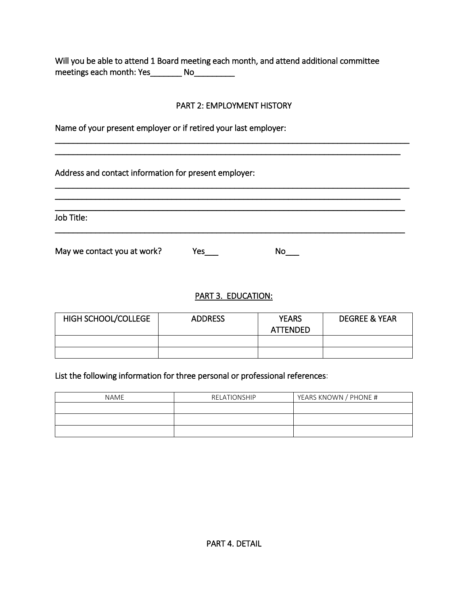Will you be able to attend 1 Board meeting each month, and attend additional committee meetings each month: Yes\_\_\_\_\_\_\_\_ No\_\_\_\_\_\_\_\_\_

## PART 2: EMPLOYMENT HISTORY

\_\_\_\_\_\_\_\_\_\_\_\_\_\_\_\_\_\_\_\_\_\_\_\_\_\_\_\_\_\_\_\_\_\_\_\_\_\_\_\_\_\_\_\_\_\_\_\_\_\_\_\_\_\_\_\_\_\_\_\_\_\_\_\_\_\_\_\_\_\_\_\_\_\_\_\_\_\_\_ \_\_\_\_\_\_\_\_\_\_\_\_\_\_\_\_\_\_\_\_\_\_\_\_\_\_\_\_\_\_\_\_\_\_\_\_\_\_\_\_\_\_\_\_\_\_\_\_\_\_\_\_\_\_\_\_\_\_\_\_\_\_\_\_\_\_\_\_\_\_\_\_\_\_\_\_\_

\_\_\_\_\_\_\_\_\_\_\_\_\_\_\_\_\_\_\_\_\_\_\_\_\_\_\_\_\_\_\_\_\_\_\_\_\_\_\_\_\_\_\_\_\_\_\_\_\_\_\_\_\_\_\_\_\_\_\_\_\_\_\_\_\_\_\_\_\_\_\_\_\_\_\_\_\_\_\_ \_\_\_\_\_\_\_\_\_\_\_\_\_\_\_\_\_\_\_\_\_\_\_\_\_\_\_\_\_\_\_\_\_\_\_\_\_\_\_\_\_\_\_\_\_\_\_\_\_\_\_\_\_\_\_\_\_\_\_\_\_\_\_\_\_\_\_\_\_\_\_\_\_\_\_\_\_ \_\_\_\_\_\_\_\_\_\_\_\_\_\_\_\_\_\_\_\_\_\_\_\_\_\_\_\_\_\_\_\_\_\_\_\_\_\_\_\_\_\_\_\_\_\_\_\_\_\_\_\_\_\_\_\_\_\_\_\_\_\_\_\_\_\_\_\_\_\_\_\_\_\_\_\_\_\_

\_\_\_\_\_\_\_\_\_\_\_\_\_\_\_\_\_\_\_\_\_\_\_\_\_\_\_\_\_\_\_\_\_\_\_\_\_\_\_\_\_\_\_\_\_\_\_\_\_\_\_\_\_\_\_\_\_\_\_\_\_\_\_\_\_\_\_\_\_\_\_\_\_\_\_\_\_\_

Name of your present employer or if retired your last employer:

Address and contact information for present employer:

Job Title:

May we contact you at work? <br>
Yes\_\_\_ No\_\_\_

PART 3. EDUCATION:

| <b>HIGH SCHOOL/COLLEGE</b> | <b>ADDRESS</b> | <b>YFARS</b><br><b>ATTENDED</b> | <b>DEGREE &amp; YEAR</b> |
|----------------------------|----------------|---------------------------------|--------------------------|
|                            |                |                                 |                          |
|                            |                |                                 |                          |

## List the following information for three personal or professional references:

| <b>NAME</b> | RELATIONSHIP | YEARS KNOWN / PHONE # |
|-------------|--------------|-----------------------|
|             |              |                       |
|             |              |                       |
|             |              |                       |